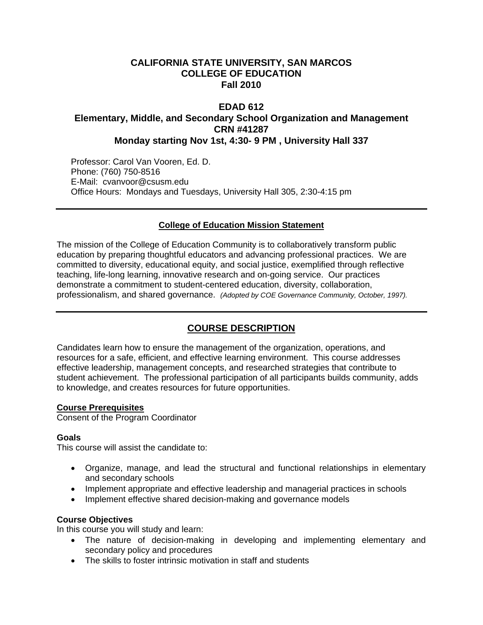## **CALIFORNIA STATE UNIVERSITY, SAN MARCOS COLLEGE OF EDUCATION Fall 2010**

### **EDAD 612 Elementary, Middle, and Secondary School Organization and Management CRN #41287 Monday starting Nov 1st, 4:30- 9 PM , University Hall 337**

Professor: Carol Van Vooren, Ed. D. Phone: (760) 750-8516 E-Mail: cvanvoor@csusm.edu Office Hours: Mondays and Tuesdays, University Hall 305, 2:30-4:15 pm

### **College of Education Mission Statement**

The mission of the College of Education Community is to collaboratively transform public education by preparing thoughtful educators and advancing professional practices. We are committed to diversity, educational equity, and social justice, exemplified through reflective teaching, life-long learning, innovative research and on-going service. Our practices demonstrate a commitment to student-centered education, diversity, collaboration, professionalism, and shared governance. *(Adopted by COE Governance Community, October, 1997).* 

# **COURSE DESCRIPTION**

Candidates learn how to ensure the management of the organization, operations, and resources for a safe, efficient, and effective learning environment. This course addresses effective leadership, management concepts, and researched strategies that contribute to student achievement. The professional participation of all participants builds community, adds to knowledge, and creates resources for future opportunities.

#### **Course Prerequisites**

Consent of the Program Coordinator

#### **Goals**

This course will assist the candidate to:

- Organize, manage, and lead the structural and functional relationships in elementary and secondary schools
- Implement appropriate and effective leadership and managerial practices in schools
- Implement effective shared decision-making and governance models

#### **Course Objectives**

In this course you will study and learn:

- The nature of decision-making in developing and implementing elementary and secondary policy and procedures
- The skills to foster intrinsic motivation in staff and students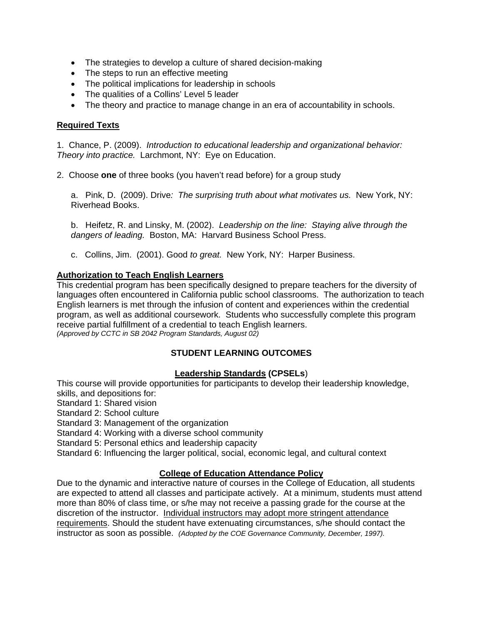- The strategies to develop a culture of shared decision-making
- The steps to run an effective meeting
- The political implications for leadership in schools
- The qualities of a Collins' Level 5 leader
- The theory and practice to manage change in an era of accountability in schools.

### **Required Texts**

1. Chance, P. (2009). *Introduction to educational leadership and organizational behavior: Theory into practice.* Larchmont, NY: Eye on Education.

2. Choose **one** of three books (you haven't read before) for a group study

a. Pink, D. (2009). Drive*: The surprising truth about what motivates us.* New York, NY: Riverhead Books.

b. Heifetz, R. and Linsky, M. (2002). *Leadership on the line: Staying alive through the dangers of leading.* Boston, MA: Harvard Business School Press.

c. Collins, Jim. (2001). Good *to great.* New York, NY: Harper Business.

### **Authorization to Teach English Learners**

This credential program has been specifically designed to prepare teachers for the diversity of languages often encountered in California public school classrooms. The authorization to teach English learners is met through the infusion of content and experiences within the credential program, as well as additional coursework. Students who successfully complete this program receive partial fulfillment of a credential to teach English learners. *(Approved by CCTC in SB 2042 Program Standards, August 02)* 

# **STUDENT LEARNING OUTCOMES**

### **Leadership Standards (CPSELs**)

This course will provide opportunities for participants to develop their leadership knowledge, skills, and depositions for:

Standard 1: Shared vision

Standard 2: School culture

Standard 3: Management of the organization

Standard 4: Working with a diverse school community

Standard 5: Personal ethics and leadership capacity

Standard 6: Influencing the larger political, social, economic legal, and cultural context

### **College of Education Attendance Policy**

 instructor as soon as possible. *(Adopted by the COE Governance Community, December, 1997).* Due to the dynamic and interactive nature of courses in the College of Education, all students are expected to attend all classes and participate actively. At a minimum, students must attend more than 80% of class time, or s/he may not receive a passing grade for the course at the discretion of the instructor. Individual instructors may adopt more stringent attendance requirements. Should the student have extenuating circumstances, s/he should contact the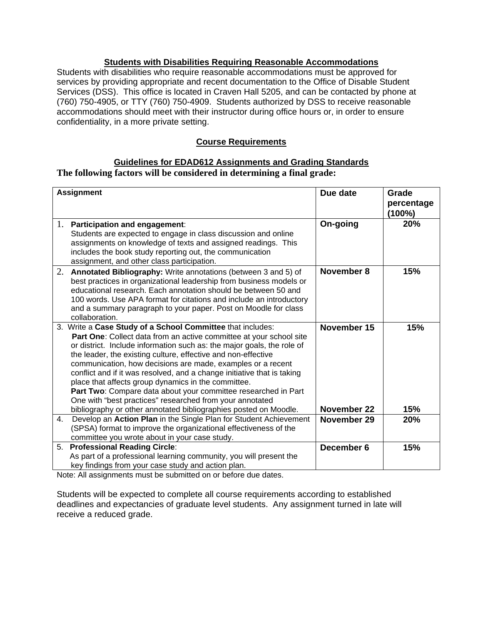### **Students with Disabilities Requiring Reasonable Accommodations**

Students with disabilities who require reasonable accommodations must be approved for services by providing appropriate and recent documentation to the Office of Disable Student Services (DSS). This office is located in Craven Hall 5205, and can be contacted by phone at (760) 750-4905, or TTY (760) 750-4909. Students authorized by DSS to receive reasonable accommodations should meet with their instructor during office hours or, in order to ensure confidentiality, in a more private setting.

### **Course Requirements**

### **Guidelines for EDAD612 Assignments and Grading Standards The following factors will be considered in determining a final grade:**

| <b>Assignment</b> |                                                                                                                                                                                                                                                                                                                                                                                                                                                                                                                                                                                                             | Due date                   | Grade<br>percentage<br>(100%) |
|-------------------|-------------------------------------------------------------------------------------------------------------------------------------------------------------------------------------------------------------------------------------------------------------------------------------------------------------------------------------------------------------------------------------------------------------------------------------------------------------------------------------------------------------------------------------------------------------------------------------------------------------|----------------------------|-------------------------------|
| 1.                | Participation and engagement:<br>Students are expected to engage in class discussion and online<br>assignments on knowledge of texts and assigned readings. This<br>includes the book study reporting out, the communication<br>assignment, and other class participation.                                                                                                                                                                                                                                                                                                                                  | On-going                   | 20%                           |
| 2.                | Annotated Bibliography: Write annotations (between 3 and 5) of<br>best practices in organizational leadership from business models or<br>educational research. Each annotation should be between 50 and<br>100 words. Use APA format for citations and include an introductory<br>and a summary paragraph to your paper. Post on Moodle for class<br>collaboration.                                                                                                                                                                                                                                         | November 8                 | 15%                           |
|                   | 3. Write a Case Study of a School Committee that includes:<br>Part One: Collect data from an active committee at your school site<br>or district. Include information such as: the major goals, the role of<br>the leader, the existing culture, effective and non-effective<br>communication, how decisions are made, examples or a recent<br>conflict and if it was resolved, and a change initiative that is taking<br>place that affects group dynamics in the committee.<br>Part Two: Compare data about your committee researched in Part<br>One with "best practices" researched from your annotated | November 15                | 15%                           |
| 4.                | bibliography or other annotated bibliographies posted on Moodle.<br>Develop an Action Plan in the Single Plan for Student Achievement<br>(SPSA) format to improve the organizational effectiveness of the<br>committee you wrote about in your case study.                                                                                                                                                                                                                                                                                                                                                  | November 22<br>November 29 | 15%<br><b>20%</b>             |
| 5.                | <b>Professional Reading Circle:</b><br>As part of a professional learning community, you will present the<br>key findings from your case study and action plan.                                                                                                                                                                                                                                                                                                                                                                                                                                             | December 6                 | 15%                           |

Note: All assignments must be submitted on or before due dates.

Students will be expected to complete all course requirements according to established deadlines and expectancies of graduate level students. Any assignment turned in late will receive a reduced grade.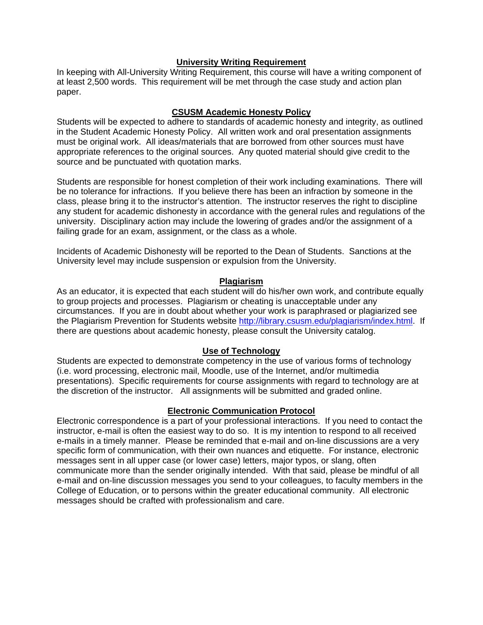#### **University Writing Requirement**

In keeping with All-University Writing Requirement, this course will have a writing component of at least 2,500 words. This requirement will be met through the case study and action plan paper.

### **CSUSM Academic Honesty Policy**

Students will be expected to adhere to standards of academic honesty and integrity, as outlined in the Student Academic Honesty Policy. All written work and oral presentation assignments must be original work. All ideas/materials that are borrowed from other sources must have appropriate references to the original sources. Any quoted material should give credit to the source and be punctuated with quotation marks.

Students are responsible for honest completion of their work including examinations. There will be no tolerance for infractions. If you believe there has been an infraction by someone in the class, please bring it to the instructor's attention. The instructor reserves the right to discipline any student for academic dishonesty in accordance with the general rules and regulations of the university. Disciplinary action may include the lowering of grades and/or the assignment of a failing grade for an exam, assignment, or the class as a whole.

Incidents of Academic Dishonesty will be reported to the Dean of Students. Sanctions at the University level may include suspension or expulsion from the University.

#### **Plagiarism**

As an educator, it is expected that each student will do his/her own work, and contribute equally to group projects and processes. Plagiarism or cheating is unacceptable under any circumstances. If you are in doubt about whether your work is paraphrased or plagiarized see the Plagiarism Prevention for Students website http://library.csusm.edu/plagiarism/index.html. If there are questions about academic honesty, please consult the University catalog.

### **Use of Technology**

Students are expected to demonstrate competency in the use of various forms of technology (i.e. word processing, electronic mail, Moodle, use of the Internet, and/or multimedia presentations). Specific requirements for course assignments with regard to technology are at the discretion of the instructor. All assignments will be submitted and graded online.

### **Electronic Communication Protocol**

Electronic correspondence is a part of your professional interactions. If you need to contact the instructor, e-mail is often the easiest way to do so. It is my intention to respond to all received e-mails in a timely manner. Please be reminded that e-mail and on-line discussions are a very specific form of communication, with their own nuances and etiquette. For instance, electronic messages sent in all upper case (or lower case) letters, major typos, or slang, often communicate more than the sender originally intended. With that said, please be mindful of all e-mail and on-line discussion messages you send to your colleagues, to faculty members in the College of Education, or to persons within the greater educational community. All electronic messages should be crafted with professionalism and care.